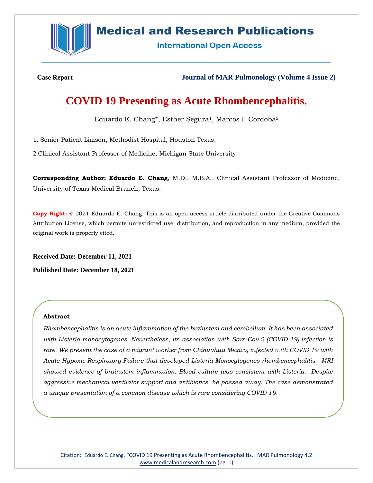

## **Medical and Research Publications**

**International Open Access** 

**Case Report Journal of MAR Pulmonology (Volume 4 Issue 2)**

# **COVID 19 Presenting as Acute Rhombencephalitis.**

Eduardo E. Chang\*, Esther Segura<sup>1</sup>, Marcos I. Cordoba<sup>2</sup>

1. Senior Patient Liaison, Methodist Hospital, Houston Texas.

2.Clinical Assistant Professor of Medicine, Michigan State University.

**Corresponding Author: Eduardo E. Chang**, M.D., M.B.A., Clinical Assistant Professor of Medicine, University of Texas Medical Branch, Texas.

**Copy Right:** © 2021 Eduardo E. Chang. This is an open access article distributed under the Creative Commons Attribution License, which permits unrestricted use, distribution, and reproduction in any medium, provided the original work is properly cited.

**Received Date: December 11, 2021**

**Published Date: December 18, 2021**

#### **Abstract**

*Rhombencephalitis is an acute inflammation of the brainstem and cerebellum. It has been associated with Listeria monocytogenes. Nevertheless, its association with Sars-Cov-2 (COVID 19) infection is rare. We present the case of a migrant worker from Chihuahua Mexico, infected with COVID 19 with Acute Hypoxic Respiratory Failure that developed Listeria Monocytogenes rhombencephalitis. MRI showed evidence of brainstem inflammation. Blood culture was consistent with Listeria. Despite aggressive mechanical ventilator support and antibiotics, he passed away. The case demonstrated a unique presentation of a common disease which is rare considering COVID 19.*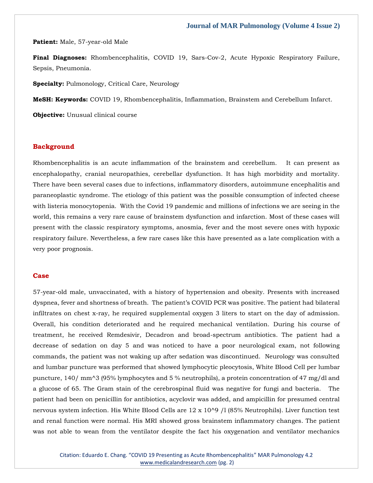**Patient:** Male, 57-year-old Male

**Final Diagnoses:** Rhombencephalitis, COVID 19, Sars-Cov-2, Acute Hypoxic Respiratory Failure, Sepsis, Pneumonia.

**Specialty:** Pulmonology, Critical Care, Neurology

**MeSH: Keywords:** COVID 19, Rhombencephalitis, Inflammation, Brainstem and Cerebellum Infarct.

**Objective:** Unusual clinical course

#### **Background**

Rhombencephalitis is an acute inflammation of the brainstem and cerebellum. It can present as encephalopathy, cranial neuropathies, cerebellar dysfunction. It has high morbidity and mortality. There have been several cases due to infections, inflammatory disorders, autoimmune encephalitis and paraneoplastic syndrome. The etiology of this patient was the possible consumption of infected cheese with listeria monocytopenia. With the Covid 19 pandemic and millions of infections we are seeing in the world, this remains a very rare cause of brainstem dysfunction and infarction. Most of these cases will present with the classic respiratory symptoms, anosmia, fever and the most severe ones with hypoxic respiratory failure. Nevertheless, a few rare cases like this have presented as a late complication with a very poor prognosis.

#### **Case**

57-year-old male, unvaccinated, with a history of hypertension and obesity. Presents with increased dyspnea, fever and shortness of breath. The patient's COVID PCR was positive. The patient had bilateral infiltrates on chest x-ray, he required supplemental oxygen 3 liters to start on the day of admission. Overall, his condition deteriorated and he required mechanical ventilation. During his course of treatment, he received Remdesivir, Decadron and broad-spectrum antibiotics. The patient had a decrease of sedation on day 5 and was noticed to have a poor neurological exam, not following commands, the patient was not waking up after sedation was discontinued. Neurology was consulted and lumbar puncture was performed that showed lymphocytic pleocytosis, White Blood Cell per lumbar puncture, 140/ mm^3 (95% lymphocytes and 5 % neutrophils), a protein concentration of 47 mg/dl and a glucose of 65. The Gram stain of the cerebrospinal fluid was negative for fungi and bacteria. The patient had been on penicillin for antibiotics, acyclovir was added, and ampicillin for presumed central nervous system infection. His White Blood Cells are 12 x 10^9 /l (85% Neutrophils). Liver function test and renal function were normal. His MRI showed gross brainstem inflammatory changes. The patient was not able to wean from the ventilator despite the fact his oxygenation and ventilator mechanics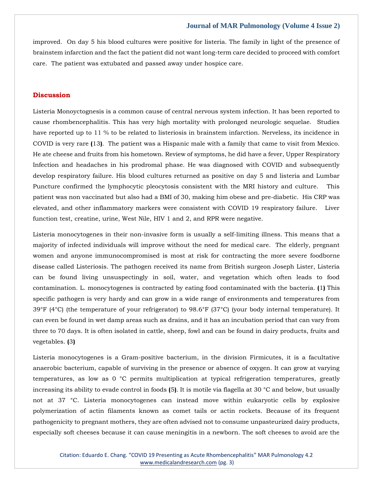improved. On day 5 his blood cultures were positive for listeria. The family in light of the presence of brainstem infarction and the fact the patient did not want long-term care decided to proceed with comfort care. The patient was extubated and passed away under hospice care.

#### **Discussion**

Listeria Monoyctognesis is a common cause of central nervous system infection. It has been reported to cause rhombencephalitis. This has very high mortality with prolonged neurologic sequelae. Studies have reported up to 11 % to be related to listeriosis in brainstem infarction. Nerveless, its incidence in COVID is very rare **(**13**)**. The patient was a Hispanic male with a family that came to visit from Mexico. He ate cheese and fruits from his hometown. Review of symptoms, he did have a fever, Upper Respiratory Infection and headaches in his prodromal phase. He was diagnosed with COVID and subsequently develop respiratory failure. His blood cultures returned as positive on day 5 and listeria and Lumbar Puncture confirmed the lymphocytic pleocytosis consistent with the MRI history and culture. This patient was non vaccinated but also had a BMI of 30, making him obese and pre-diabetic. His CRP was elevated, and other inflammatory markers were consistent with COVID 19 respiratory failure. Liver function test, creatine, urine, West Nile, HIV 1 and 2, and RPR were negative.

Listeria monocytogenes in their non-invasive form is usually a self-limiting illness. This means that a majority of infected individuals will improve without the need for medical care. The elderly, pregnant women and anyone immunocompromised is most at risk for contracting the more severe foodborne disease called Listeriosis. The pathogen received its name from British surgeon Joseph Lister, Listeria can be found living unsuspectingly in soil, water, and vegetation which often leads to food contamination. L. monocytogenes is contracted by eating food contaminated with the bacteria. **(**1**)** This specific pathogen is very hardy and can grow in a wide range of environments and temperatures from 39°F (4°C) (the temperature of your refrigerator) to 98.6°F (37°C) (your body internal temperature). It can even be found in wet damp areas such as drains, and it has an incubation period that can vary from three to 70 days. It is often isolated in cattle, sheep, fowl and can be found in dairy products, fruits and vegetables. **(**3**)**

Listeria monocytogenes is a Gram-positive bacterium, in the division Firmicutes, it is a facultative anaerobic bacterium, capable of surviving in the presence or absence of oxygen. It can grow at varying temperatures, as low as 0 °C permits multiplication at typical refrigeration temperatures, greatly increasing its ability to evade control in foods **(**5**)**. It is motile via flagella at 30 °C and below, but usually not at 37 °C. Listeria monocytogenes can instead move within eukaryotic cells by explosive polymerization of actin filaments known as comet tails or actin rockets. Because of its frequent pathogenicity to pregnant mothers, they are often advised not to consume unpasteurized dairy products, especially soft cheeses because it can cause meningitis in a newborn. The soft cheeses to avoid are the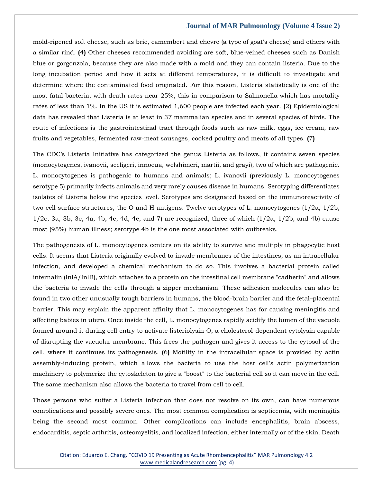mold-ripened soft cheese, such as brie, camembert and chevre (a type of goat's cheese) and others with a similar rind. **(**4**)** Other cheeses recommended avoiding are soft, blue-veined cheeses such as Danish blue or gorgonzola, because they are also made with a mold and they can contain listeria. Due to the long incubation period and how it acts at different temperatures, it is difficult to investigate and determine where the contaminated food originated. For this reason, Listeria statistically is one of the most fatal bacteria, with death rates near 25%, this in comparison to Salmonella which has mortality rates of less than 1%. In the US it is estimated 1,600 people are infected each year. **(**2**)** Epidemiological data has revealed that Listeria is at least in 37 mammalian species and in several species of birds. The route of infections is the gastrointestinal tract through foods such as raw milk, eggs, ice cream, raw fruits and vegetables, fermented raw-meat sausages, cooked poultry and meats of all types. **(**7**)**

The CDC's Listeria Initiative has categorized the genus Listeria as follows, it contains seven species (monocytogenes, ivanovii, seeligeri, innocua, welshimeri, martii, and grayi), two of which are pathogenic. L. monocytogenes is pathogenic to humans and animals; L. ivanovii (previously L. monocytogenes serotype 5) primarily infects animals and very rarely causes disease in humans. Serotyping differentiates isolates of Listeria below the species level. Serotypes are designated based on the immunoreactivity of two cell surface structures, the O and H antigens. Twelve serotypes of L. monocytogenes (1/2a, 1/2b,  $1/2c$ , 3a, 3b, 3c, 4a, 4b, 4c, 4d, 4e, and 7) are recognized, three of which  $(1/2a, 1/2b,$  and 4b) cause most (95%) human illness; serotype 4b is the one most associated with outbreaks.

The pathogenesis of L. monocytogenes centers on its ability to survive and multiply in phagocytic host cells. It seems that Listeria originally evolved to invade membranes of the intestines, as an intracellular infection, and developed a chemical mechanism to do so. This involves a bacterial protein called internalin (InlA/InlB), which attaches to a protein on the intestinal cell membrane "cadherin" and allows the bacteria to invade the cells through a zipper mechanism. These adhesion molecules can also be found in two other unusually tough barriers in humans, the blood-brain barrier and the fetal–placental barrier. This may explain the apparent affinity that L. monocytogenes has for causing meningitis and affecting babies in utero. Once inside the cell, L. monocytogenes rapidly acidify the lumen of the vacuole formed around it during cell entry to activate listeriolysin O, a cholesterol-dependent cytolysin capable of disrupting the vacuolar membrane. This frees the pathogen and gives it access to the cytosol of the cell, where it continues its pathogenesis. **(**6**)** Motility in the intracellular space is provided by actin assembly-inducing protein, which allows the bacteria to use the host cell's actin polymerization machinery to polymerize the cytoskeleton to give a "boost" to the bacterial cell so it can move in the cell. The same mechanism also allows the bacteria to travel from cell to cell.

Those persons who suffer a Listeria infection that does not resolve on its own, can have numerous complications and possibly severe ones. The most common complication is septicemia, with meningitis being the second most common. Other complications can include encephalitis, brain abscess, endocarditis, septic arthritis, osteomyelitis, and localized infection, either internally or of the skin. Death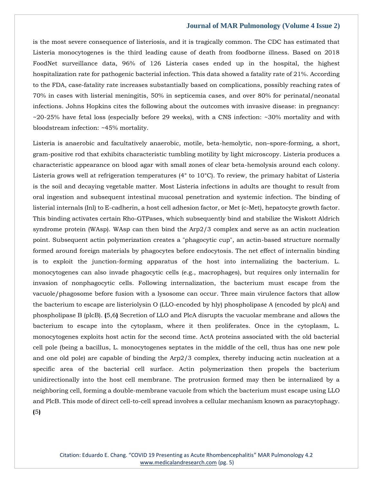is the most severe consequence of listeriosis, and it is tragically common. The CDC has estimated that Listeria monocytogenes is the third leading cause of death from foodborne illness. Based on 2018 FoodNet surveillance data, 96% of 126 Listeria cases ended up in the hospital, the highest hospitalization rate for pathogenic bacterial infection. This data showed a fatality rate of 21%. According to the FDA, case-fatality rate increases substantially based on complications, possibly reaching rates of 70% in cases with listerial meningitis, 50% in septicemia cases, and over 80% for perinatal/neonatal infections. Johns Hopkins cites the following about the outcomes with invasive disease: in pregnancy: ~20-25% have fetal loss (especially before 29 weeks), with a CNS infection: ~30% mortality and with bloodstream infection: ~45% mortality.

Listeria is anaerobic and facultatively anaerobic, motile, beta-hemolytic, non–spore-forming, a short, gram-positive rod that exhibits characteristic tumbling motility by light microscopy. Listeria produces a characteristic appearance on blood agar with small zones of clear beta-hemolysis around each colony. Listeria grows well at refrigeration temperatures (4° to 10°C). To review, the primary habitat of Listeria is the soil and decaying vegetable matter. Most Listeria infections in adults are thought to result from oral ingestion and subsequent intestinal mucosal penetration and systemic infection. The binding of listerial internals (Inl) to E-cadherin, a host cell adhesion factor, or Met (c-Met), hepatocyte growth factor. This binding activates certain Rho-GTPases, which subsequently bind and stabilize the Wiskott Aldrich syndrome protein (WAsp). WAsp can then bind the Arp2/3 complex and serve as an actin nucleation point. Subsequent actin polymerization creates a "phagocytic cup", an actin-based structure normally formed around foreign materials by phagocytes before endocytosis. The net effect of internalin binding is to exploit the junction-forming apparatus of the host into internalizing the bacterium. L. monocytogenes can also invade phagocytic cells (e.g., macrophages), but requires only internalin for invasion of nonphagocytic cells. Following internalization, the bacterium must escape from the vacuole/phagosome before fusion with a lysosome can occur. Three main virulence factors that allow the bacterium to escape are listeriolysin O (LLO-encoded by hly) phospholipase A (encoded by plcA) and phospholipase B (plcB). **(**5,6**)** Secretion of LLO and PlcA disrupts the vacuolar membrane and allows the bacterium to escape into the cytoplasm, where it then proliferates. Once in the cytoplasm, L. monocytogenes exploits host actin for the second time. ActA proteins associated with the old bacterial cell pole (being a bacillus, L. monocytogenes septates in the middle of the cell, thus has one new pole and one old pole) are capable of binding the Arp2/3 complex, thereby inducing actin nucleation at a specific area of the bacterial cell surface. Actin polymerization then propels the bacterium unidirectionally into the host cell membrane. The protrusion formed may then be internalized by a neighboring cell, forming a double-membrane vacuole from which the bacterium must escape using LLO and PlcB. This mode of direct cell-to-cell spread involves a cellular mechanism known as paracytophagy. **(**5**)**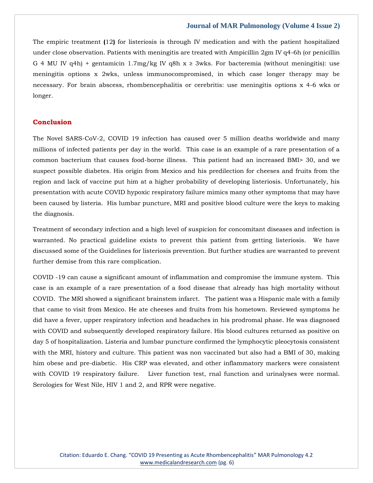The empiric treatment **(**12**)** for listeriosis is through IV medication and with the patient hospitalized under close observation. Patients with meningitis are treated with Ampicillin 2gm IV q4-6h (or penicillin G 4 MU IV q4h) + gentamicin 1.7mg/kg IV q8h  $x \ge 3$ wks. For bacteremia (without meningitis): use meningitis options x 2wks, unless immunocompromised, in which case longer therapy may be necessary. For brain abscess, rhombencephalitis or cerebritis: use meningitis options x 4-6 wks or longer.

## **Conclusion**

The Novel SARS-CoV-2, COVID 19 infection has caused over 5 million deaths worldwide and many millions of infected patients per day in the world. This case is an example of a rare presentation of a common bacterium that causes food-borne illness. This patient had an increased BMI> 30, and we suspect possible diabetes. His origin from Mexico and his predilection for cheeses and fruits from the region and lack of vaccine put him at a higher probability of developing listeriosis. Unfortunately, his presentation with acute COVID hypoxic respiratory failure mimics many other symptoms that may have been caused by listeria. His lumbar puncture, MRI and positive blood culture were the keys to making the diagnosis.

Treatment of secondary infection and a high level of suspicion for concomitant diseases and infection is warranted. No practical guideline exists to prevent this patient from getting listeriosis. We have discussed some of the Guidelines for listeriosis prevention. But further studies are warranted to prevent further demise from this rare complication.

COVID -19 can cause a significant amount of inflammation and compromise the immune system. This case is an example of a rare presentation of a food disease that already has high mortality without COVID. The MRI showed a significant brainstem infarct. The patient was a Hispanic male with a family that came to visit from Mexico. He ate cheeses and fruits from his hometown. Reviewed symptoms he did have a fever, upper respiratory infection and headaches in his prodromal phase. He was diagnosed with COVID and subsequently developed respiratory failure. His blood cultures returned as positive on day 5 of hospitalization. Listeria and lumbar puncture confirmed the lymphocytic pleocytosis consistent with the MRI, history and culture. This patient was non vaccinated but also had a BMI of 30, making him obese and pre-diabetic. His CRP was elevated, and other inflammatory markers were consistent with COVID 19 respiratory failure. Liver function test, rnal function and urinalyses were normal. Serologies for West Nile, HIV 1 and 2, and RPR were negative.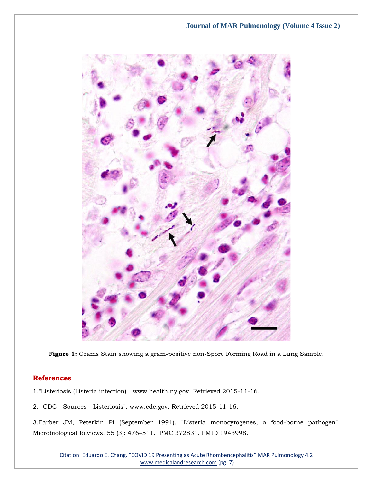

**Figure 1:** Grams Stain showing a gram-positive non-Spore Forming Road in a Lung Sample.

## **References**

1."Listeriosis (Listeria infection)". www.health.ny.gov. Retrieved 2015-11-16.

2. "CDC - Sources - Listeriosis". www.cdc.gov. Retrieved 2015-11-16.

3[.Farber JM, Peterkin PI \(September 1991\). "Listeria monocytogenes, a food-borne pathogen".](https://www.google.com/search?q=Listeria+monocytogenes%2C+a+food-borne+pathogen&oq=Listeria+monocytogenes%2C+a+food-borne+pathogen&aqs=chrome..69i57j46i512j0i22i30l2.464j0j7&sourceid=chrome&ie=UTF-8)  Microbiological Reviews. 55 (3): 476–[511. PMC 372831. PMID 1943998.](https://www.google.com/search?q=Listeria+monocytogenes%2C+a+food-borne+pathogen&oq=Listeria+monocytogenes%2C+a+food-borne+pathogen&aqs=chrome..69i57j46i512j0i22i30l2.464j0j7&sourceid=chrome&ie=UTF-8)

Citation: Eduardo E. Chang. "COVID 19 Presenting as Acute Rhombencephalitis" MAR Pulmonology 4.2 [www.medicalandresearch.com](http://www.medicalandresearch.com/) (pg. 7)